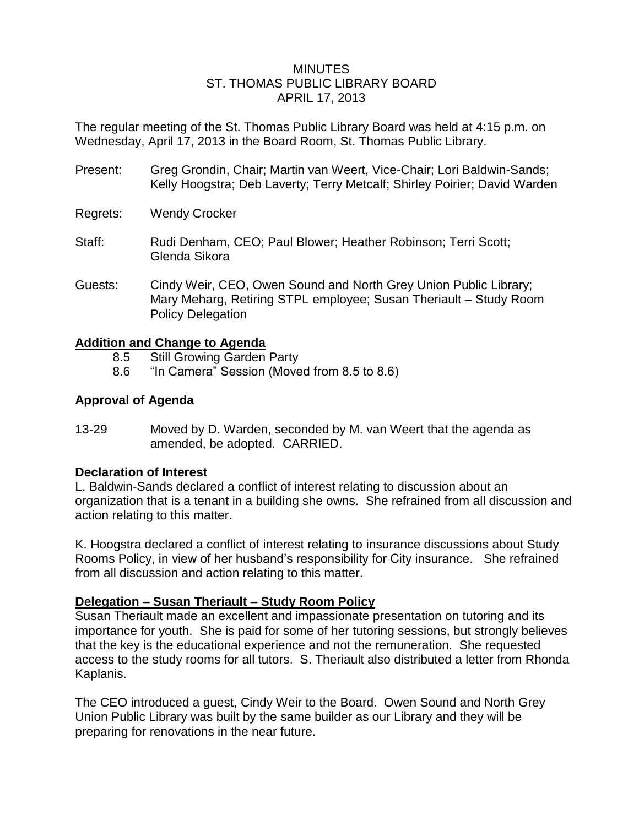#### **MINUTES** ST. THOMAS PUBLIC LIBRARY BOARD APRIL 17, 2013

The regular meeting of the St. Thomas Public Library Board was held at 4:15 p.m. on Wednesday, April 17, 2013 in the Board Room, St. Thomas Public Library.

- Present: Greg Grondin, Chair; Martin van Weert, Vice-Chair; Lori Baldwin-Sands; Kelly Hoogstra; Deb Laverty; Terry Metcalf; Shirley Poirier; David Warden
- Regrets: Wendy Crocker
- Staff: Rudi Denham, CEO; Paul Blower; Heather Robinson; Terri Scott; Glenda Sikora
- Guests: Cindy Weir, CEO, Owen Sound and North Grey Union Public Library; Mary Meharg, Retiring STPL employee; Susan Theriault – Study Room Policy Delegation

## **Addition and Change to Agenda**

- 8.5 Still Growing Garden Party
- 8.6 "In Camera" Session (Moved from 8.5 to 8.6)

## **Approval of Agenda**

13-29 Moved by D. Warden, seconded by M. van Weert that the agenda as amended, be adopted. CARRIED.

## **Declaration of Interest**

L. Baldwin-Sands declared a conflict of interest relating to discussion about an organization that is a tenant in a building she owns. She refrained from all discussion and action relating to this matter.

K. Hoogstra declared a conflict of interest relating to insurance discussions about Study Rooms Policy, in view of her husband's responsibility for City insurance. She refrained from all discussion and action relating to this matter.

## **Delegation – Susan Theriault – Study Room Policy**

Susan Theriault made an excellent and impassionate presentation on tutoring and its importance for youth. She is paid for some of her tutoring sessions, but strongly believes that the key is the educational experience and not the remuneration. She requested access to the study rooms for all tutors. S. Theriault also distributed a letter from Rhonda Kaplanis.

The CEO introduced a guest, Cindy Weir to the Board. Owen Sound and North Grey Union Public Library was built by the same builder as our Library and they will be preparing for renovations in the near future.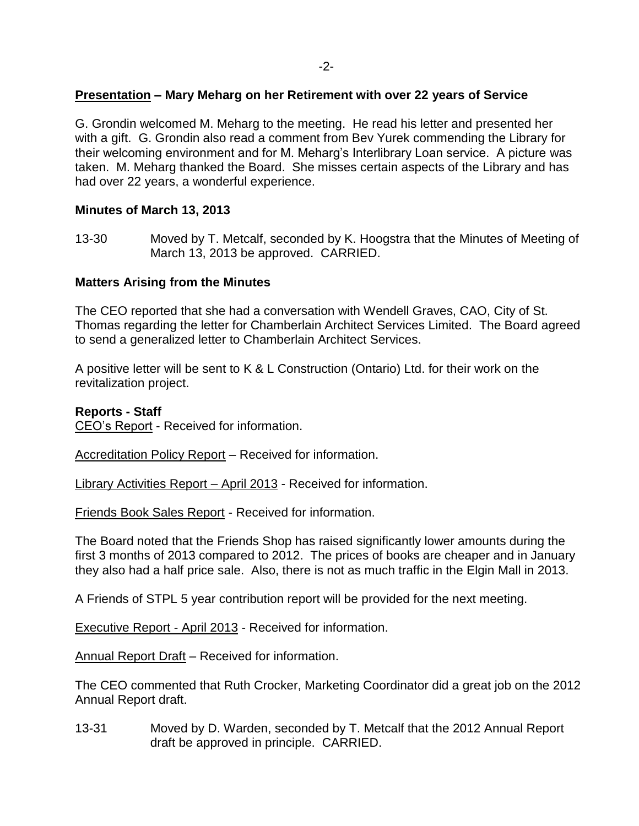## **Presentation – Mary Meharg on her Retirement with over 22 years of Service**

G. Grondin welcomed M. Meharg to the meeting. He read his letter and presented her with a gift. G. Grondin also read a comment from Bev Yurek commending the Library for their welcoming environment and for M. Meharg's Interlibrary Loan service. A picture was taken. M. Meharg thanked the Board. She misses certain aspects of the Library and has had over 22 years, a wonderful experience.

## **Minutes of March 13, 2013**

13-30 Moved by T. Metcalf, seconded by K. Hoogstra that the Minutes of Meeting of March 13, 2013 be approved. CARRIED.

## **Matters Arising from the Minutes**

The CEO reported that she had a conversation with Wendell Graves, CAO, City of St. Thomas regarding the letter for Chamberlain Architect Services Limited. The Board agreed to send a generalized letter to Chamberlain Architect Services.

A positive letter will be sent to K & L Construction (Ontario) Ltd. for their work on the revitalization project.

## **Reports - Staff**

CEO's Report - Received for information.

Accreditation Policy Report – Received for information.

Library Activities Report – April 2013 - Received for information.

Friends Book Sales Report - Received for information.

The Board noted that the Friends Shop has raised significantly lower amounts during the first 3 months of 2013 compared to 2012. The prices of books are cheaper and in January they also had a half price sale. Also, there is not as much traffic in the Elgin Mall in 2013.

A Friends of STPL 5 year contribution report will be provided for the next meeting.

Executive Report - April 2013 - Received for information.

Annual Report Draft – Received for information.

The CEO commented that Ruth Crocker, Marketing Coordinator did a great job on the 2012 Annual Report draft.

13-31 Moved by D. Warden, seconded by T. Metcalf that the 2012 Annual Report draft be approved in principle. CARRIED.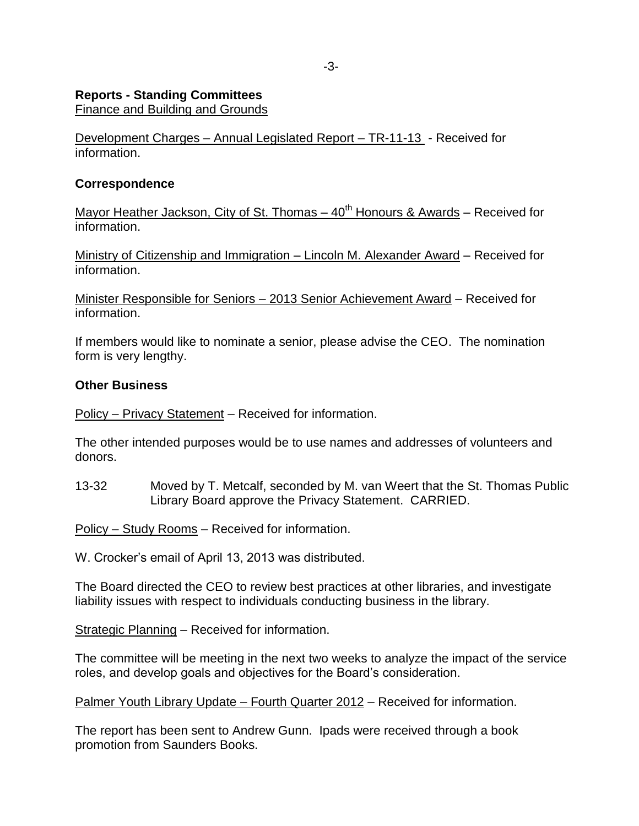#### **Reports - Standing Committees**

Finance and Building and Grounds

Development Charges – Annual Legislated Report – TR-11-13 - Received for information.

## **Correspondence**

Mayor Heather Jackson, City of St. Thomas  $-40<sup>th</sup>$  Honours & Awards – Received for information.

Ministry of Citizenship and Immigration – Lincoln M. Alexander Award – Received for information.

Minister Responsible for Seniors – 2013 Senior Achievement Award – Received for information.

If members would like to nominate a senior, please advise the CEO. The nomination form is very lengthy.

## **Other Business**

Policy – Privacy Statement – Received for information.

The other intended purposes would be to use names and addresses of volunteers and donors.

13-32 Moved by T. Metcalf, seconded by M. van Weert that the St. Thomas Public Library Board approve the Privacy Statement. CARRIED.

Policy – Study Rooms – Received for information.

W. Crocker's email of April 13, 2013 was distributed.

The Board directed the CEO to review best practices at other libraries, and investigate liability issues with respect to individuals conducting business in the library.

Strategic Planning – Received for information.

The committee will be meeting in the next two weeks to analyze the impact of the service roles, and develop goals and objectives for the Board's consideration.

Palmer Youth Library Update – Fourth Quarter 2012 – Received for information.

The report has been sent to Andrew Gunn. Ipads were received through a book promotion from Saunders Books.